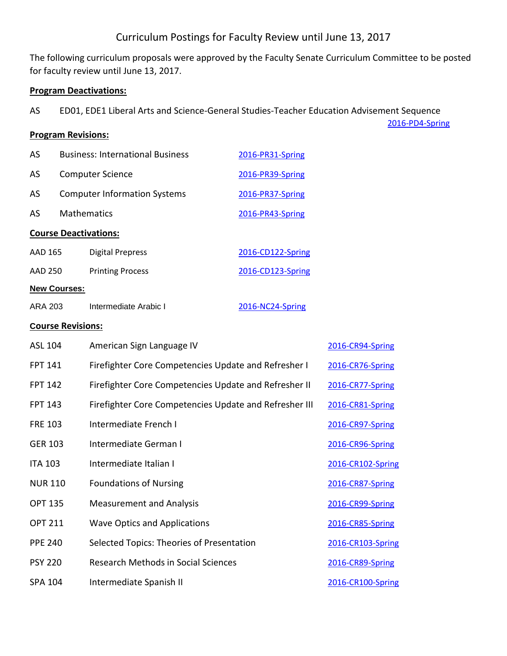# Curriculum Postings for Faculty Review until June 13, 2017

The following curriculum proposals were approved by the Faculty Senate Curriculum Committee to be posted for faculty review until June 13, 2017.

[2016-PD4-Spring](http://employees.monroecc.edu/ETS/CurricProposals.nsf/Proposals%20%20by%20Type/2322F8F73E15C36E8525810F00632D60?OpenDocument)

### **Program Deactivations:**

AS ED01, EDE1 Liberal Arts and Science-General Studies-Teacher Education Advisement Sequence

## **Program Revisions:**

| <b>New Courses:</b>          |                                             |                   |  |
|------------------------------|---------------------------------------------|-------------------|--|
| AAD 250                      | <b>Printing Process</b>                     | 2016-CD123-Spring |  |
| AAD 165                      | Digital Prepress                            | 2016-CD122-Spring |  |
| <b>Course Deactivations:</b> |                                             |                   |  |
| <b>AS</b>                    | <b>Mathematics</b><br>2016-PR43-Spring      |                   |  |
| AS                           | <b>Computer Information Systems</b>         | 2016-PR37-Spring  |  |
| AS                           | <b>Computer Science</b><br>2016-PR39-Spring |                   |  |
| AS                           | <b>Business: International Business</b>     | 2016-PR31-Spring  |  |

| ARA 203 | Intermediate Arabic I | 2016-NC24-Spring |
|---------|-----------------------|------------------|
|         |                       |                  |

### **Course Revisions:**

| ASL 104        | American Sign Language IV                              | 2016-CR94-Spring  |
|----------------|--------------------------------------------------------|-------------------|
| <b>FPT 141</b> | Firefighter Core Competencies Update and Refresher I   | 2016-CR76-Spring  |
| <b>FPT 142</b> | Firefighter Core Competencies Update and Refresher II  | 2016-CR77-Spring  |
| <b>FPT 143</b> | Firefighter Core Competencies Update and Refresher III | 2016-CR81-Spring  |
| <b>FRE 103</b> | Intermediate French I                                  | 2016-CR97-Spring  |
| <b>GER 103</b> | Intermediate German I                                  | 2016-CR96-Spring  |
| <b>ITA 103</b> | Intermediate Italian I                                 | 2016-CR102-Spring |
| <b>NUR 110</b> | <b>Foundations of Nursing</b>                          | 2016-CR87-Spring  |
| <b>OPT 135</b> | <b>Measurement and Analysis</b>                        | 2016-CR99-Spring  |
| <b>OPT 211</b> | <b>Wave Optics and Applications</b>                    | 2016-CR85-Spring  |
| <b>PPE 240</b> | Selected Topics: Theories of Presentation              | 2016-CR103-Spring |
| <b>PSY 220</b> | Research Methods in Social Sciences                    | 2016-CR89-Spring  |
| SPA 104        | Intermediate Spanish II                                | 2016-CR100-Spring |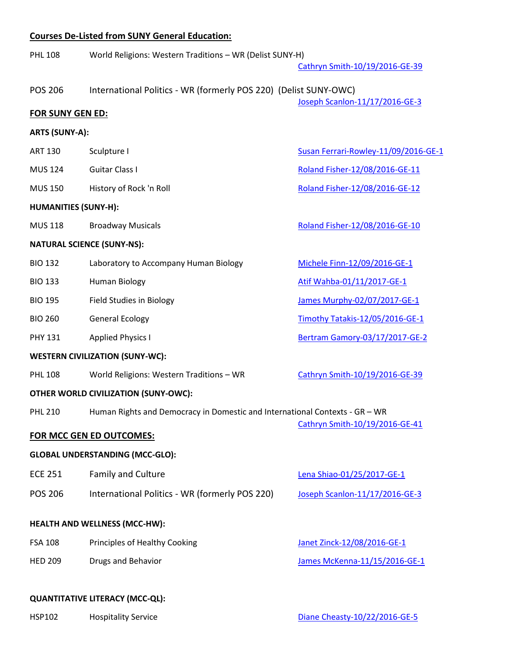### **Courses De-Listed from SUNY General Education:**

| <b>PHL 108</b>                         | World Religions: Western Traditions - WR (Delist SUNY-H)                    | Cathryn Smith-10/19/2016-GE-39       |
|----------------------------------------|-----------------------------------------------------------------------------|--------------------------------------|
| <b>POS 206</b>                         | International Politics - WR (formerly POS 220) (Delist SUNY-OWC)            | Joseph Scanlon-11/17/2016-GE-3       |
| <b>FOR SUNY GEN ED:</b>                |                                                                             |                                      |
| <b>ARTS (SUNY-A):</b>                  |                                                                             |                                      |
| <b>ART 130</b>                         | Sculpture I                                                                 | Susan Ferrari-Rowley-11/09/2016-GE-1 |
| <b>MUS 124</b>                         | <b>Guitar Class I</b>                                                       | Roland Fisher-12/08/2016-GE-11       |
| <b>MUS 150</b>                         | History of Rock 'n Roll                                                     | Roland Fisher-12/08/2016-GE-12       |
| <b>HUMANITIES (SUNY-H):</b>            |                                                                             |                                      |
| <b>MUS 118</b>                         | <b>Broadway Musicals</b>                                                    | Roland Fisher-12/08/2016-GE-10       |
|                                        | <b>NATURAL SCIENCE (SUNY-NS):</b>                                           |                                      |
| <b>BIO 132</b>                         | Laboratory to Accompany Human Biology                                       | Michele Finn-12/09/2016-GE-1         |
| <b>BIO 133</b>                         | Human Biology                                                               | Atif Wahba-01/11/2017-GE-1           |
| <b>BIO 195</b>                         | <b>Field Studies in Biology</b>                                             | James Murphy-02/07/2017-GE-1         |
| <b>BIO 260</b>                         | <b>General Ecology</b>                                                      | Timothy Tatakis-12/05/2016-GE-1      |
| <b>PHY 131</b>                         | <b>Applied Physics I</b>                                                    | Bertram Gamory-03/17/2017-GE-2       |
|                                        | <b>WESTERN CIVILIZATION (SUNY-WC):</b>                                      |                                      |
| <b>PHL 108</b>                         | World Religions: Western Traditions - WR                                    | Cathryn Smith-10/19/2016-GE-39       |
|                                        | <b>OTHER WORLD CIVILIZATION (SUNY-OWC):</b>                                 |                                      |
| <b>PHL 210</b>                         | Human Rights and Democracy in Domestic and International Contexts - GR - WR |                                      |
|                                        | <b>FOR MCC GEN ED OUTCOMES:</b>                                             | Cathryn Smith-10/19/2016-GE-41       |
|                                        | <b>GLOBAL UNDERSTANDING (MCC-GLO):</b>                                      |                                      |
| <b>ECE 251</b>                         | Family and Culture                                                          | Lena Shiao-01/25/2017-GE-1           |
| <b>POS 206</b>                         | International Politics - WR (formerly POS 220)                              | Joseph Scanlon-11/17/2016-GE-3       |
|                                        | <b>HEALTH AND WELLNESS (MCC-HW):</b>                                        |                                      |
| <b>FSA 108</b>                         | Principles of Healthy Cooking                                               | Janet Zinck-12/08/2016-GE-1          |
| <b>HED 209</b>                         | Drugs and Behavior                                                          | James McKenna-11/15/2016-GE-1        |
|                                        |                                                                             |                                      |
| <b>QUANTITATIVE LITERACY (MCC-QL):</b> |                                                                             |                                      |

HSP102 Hospitality Service Hospitality Service [Diane Cheasty-10/22/2016-GE-5](http://employees.monroecc.edu/ETS/CurricProposals.nsf/Proposals%20%20by%20Status/9BC9117C4604B6B685258054005C3A2C?OpenDocument)